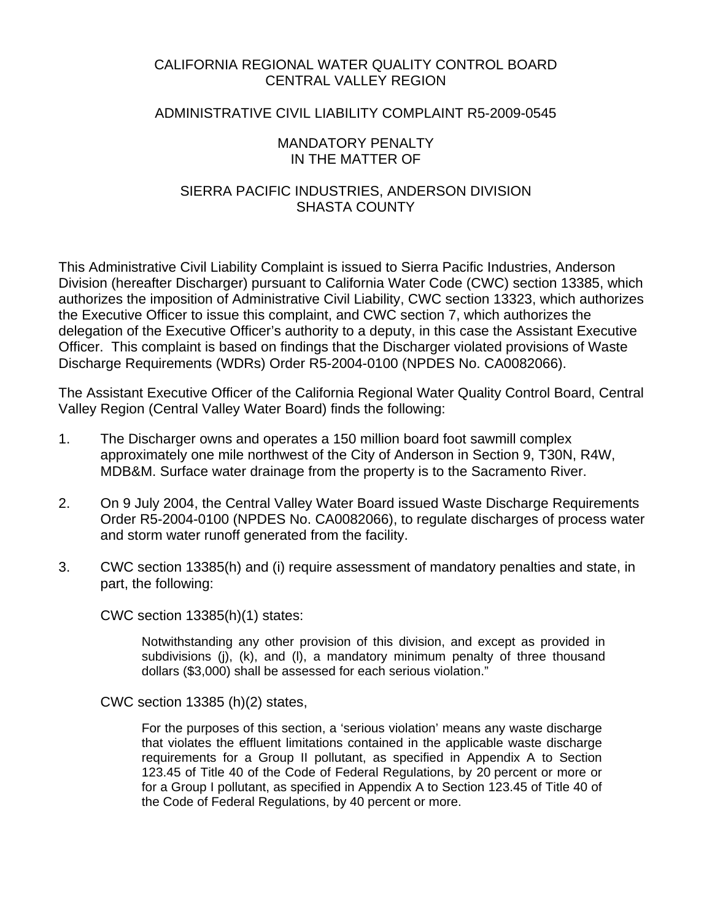## CALIFORNIA REGIONAL WATER QUALITY CONTROL BOARD CENTRAL VALLEY REGION

### ADMINISTRATIVE CIVIL LIABILITY COMPLAINT R5-2009-0545

#### MANDATORY PENALTY IN THE MATTER OF

## SIERRA PACIFIC INDUSTRIES, ANDERSON DIVISION SHASTA COUNTY

This Administrative Civil Liability Complaint is issued to Sierra Pacific Industries, Anderson Division (hereafter Discharger) pursuant to California Water Code (CWC) section 13385, which authorizes the imposition of Administrative Civil Liability, CWC section 13323, which authorizes the Executive Officer to issue this complaint, and CWC section 7, which authorizes the delegation of the Executive Officer's authority to a deputy, in this case the Assistant Executive Officer. This complaint is based on findings that the Discharger violated provisions of Waste Discharge Requirements (WDRs) Order R5-2004-0100 (NPDES No. CA0082066).

The Assistant Executive Officer of the California Regional Water Quality Control Board, Central Valley Region (Central Valley Water Board) finds the following:

- 1. The Discharger owns and operates a 150 million board foot sawmill complex approximately one mile northwest of the City of Anderson in Section 9, T30N, R4W, MDB&M. Surface water drainage from the property is to the Sacramento River.
- 2. On 9 July 2004, the Central Valley Water Board issued Waste Discharge Requirements Order R5-2004-0100 (NPDES No. CA0082066), to regulate discharges of process water and storm water runoff generated from the facility.
- 3. CWC section 13385(h) and (i) require assessment of mandatory penalties and state, in part, the following:

CWC section 13385(h)(1) states:

Notwithstanding any other provision of this division, and except as provided in subdivisions (j), (k), and (l), a mandatory minimum penalty of three thousand dollars (\$3,000) shall be assessed for each serious violation."

CWC section 13385 (h)(2) states,

For the purposes of this section, a 'serious violation' means any waste discharge that violates the effluent limitations contained in the applicable waste discharge requirements for a Group II pollutant, as specified in Appendix A to Section 123.45 of Title 40 of the Code of Federal Regulations, by 20 percent or more or for a Group I pollutant, as specified in Appendix A to Section 123.45 of Title 40 of the Code of Federal Regulations, by 40 percent or more.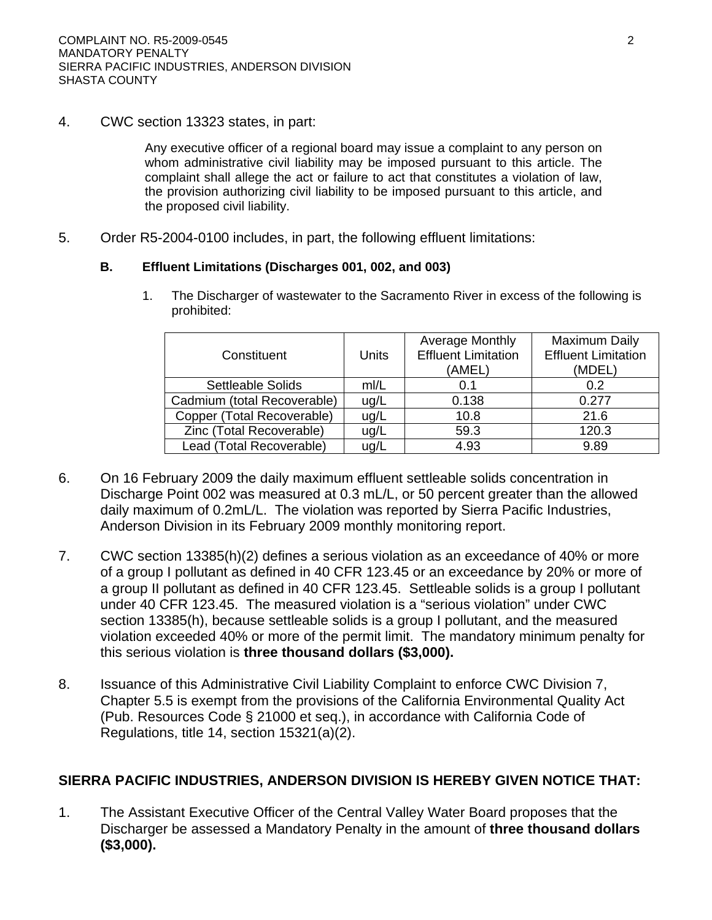4. CWC section 13323 states, in part:

Any executive officer of a regional board may issue a complaint to any person on whom administrative civil liability may be imposed pursuant to this article. The complaint shall allege the act or failure to act that constitutes a violation of law, the provision authorizing civil liability to be imposed pursuant to this article, and the proposed civil liability.

5. Order R5-2004-0100 includes, in part, the following effluent limitations:

#### **B. Effluent Limitations (Discharges 001, 002, and 003)**

1. The Discharger of wastewater to the Sacramento River in excess of the following is prohibited:

| Constituent                 | Units | Average Monthly<br><b>Effluent Limitation</b><br>(AMEL) | Maximum Daily<br><b>Effluent Limitation</b><br>(MDEL) |
|-----------------------------|-------|---------------------------------------------------------|-------------------------------------------------------|
| Settleable Solids           | m/L   | 0.1                                                     | 0.2                                                   |
| Cadmium (total Recoverable) | ug/L  | 0.138                                                   | 0.277                                                 |
| Copper (Total Recoverable)  | ug/L  | 10.8                                                    | 21.6                                                  |
| Zinc (Total Recoverable)    | ug/L  | 59.3                                                    | 120.3                                                 |
| Lead (Total Recoverable)    | ug/L  | 4.93                                                    | 9.89                                                  |

- 6. On 16 February 2009 the daily maximum effluent settleable solids concentration in Discharge Point 002 was measured at 0.3 mL/L, or 50 percent greater than the allowed daily maximum of 0.2mL/L. The violation was reported by Sierra Pacific Industries, Anderson Division in its February 2009 monthly monitoring report.
- 7. CWC section 13385(h)(2) defines a serious violation as an exceedance of 40% or more of a group I pollutant as defined in 40 CFR 123.45 or an exceedance by 20% or more of a group II pollutant as defined in 40 CFR 123.45. Settleable solids is a group I pollutant under 40 CFR 123.45. The measured violation is a "serious violation" under CWC section 13385(h), because settleable solids is a group I pollutant, and the measured violation exceeded 40% or more of the permit limit. The mandatory minimum penalty for this serious violation is **three thousand dollars (\$3,000).**
- 8. Issuance of this Administrative Civil Liability Complaint to enforce CWC Division 7, Chapter 5.5 is exempt from the provisions of the California Environmental Quality Act (Pub. Resources Code § 21000 et seq.), in accordance with California Code of Regulations, title 14, section 15321(a)(2).

# **SIERRA PACIFIC INDUSTRIES, ANDERSON DIVISION IS HEREBY GIVEN NOTICE THAT:**

1. The Assistant Executive Officer of the Central Valley Water Board proposes that the Discharger be assessed a Mandatory Penalty in the amount of **three thousand dollars (\$3,000).**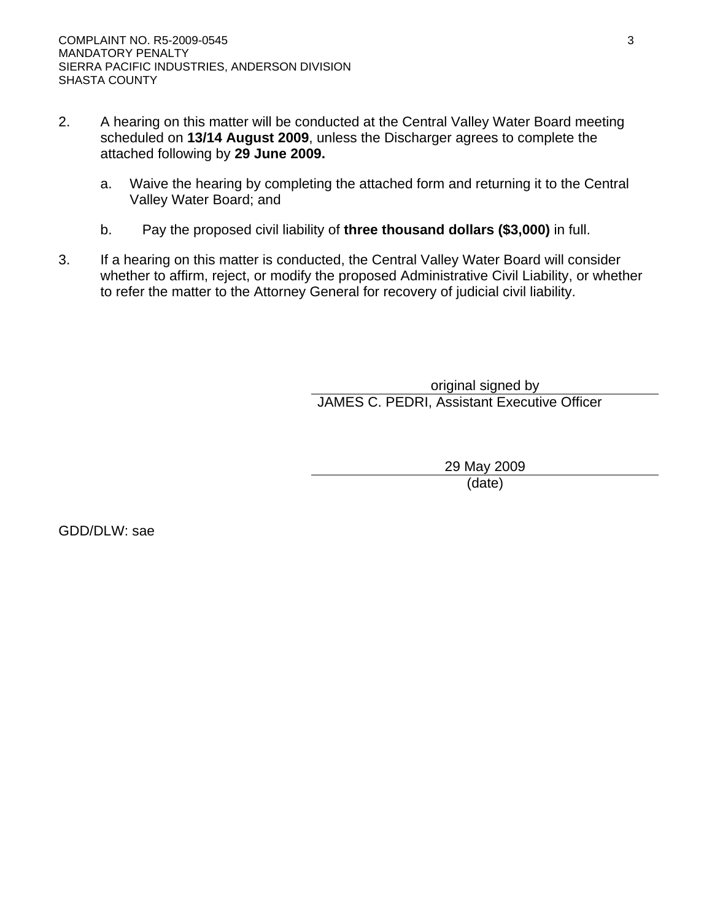- 2. A hearing on this matter will be conducted at the Central Valley Water Board meeting scheduled on **13/14 August 2009**, unless the Discharger agrees to complete the attached following by **29 June 2009.**
	- a. Waive the hearing by completing the attached form and returning it to the Central Valley Water Board; and
	- b. Pay the proposed civil liability of **three thousand dollars (\$3,000)** in full.
- 3. If a hearing on this matter is conducted, the Central Valley Water Board will consider whether to affirm, reject, or modify the proposed Administrative Civil Liability, or whether to refer the matter to the Attorney General for recovery of judicial civil liability.

original signed by JAMES C. PEDRI, Assistant Executive Officer

> 29 May 2009 (date)

GDD/DLW: sae